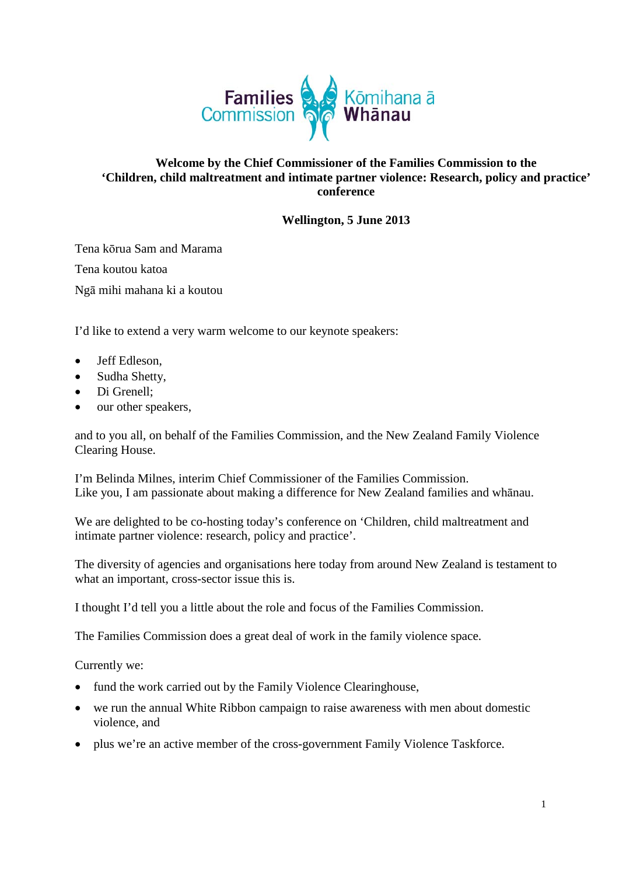

## **Welcome by the Chief Commissioner of the Families Commission to the 'Children, child maltreatment and intimate partner violence: Research, policy and practice' conference**

## **Wellington, 5 June 2013**

Tena kō[rua](http://www.nzhistory.net.nz/files/sound/tereo/tenakor.mp3) Sam and Marama Tena koutou katoa Ngā mihi mahana ki a koutou

I'd like to extend a very warm welcome to our keynote speakers:

- Jeff Edleson,
- Sudha Shetty,
- Di Grenell;
- our other speakers,

and to you all, on behalf of the Families Commission, and the New Zealand Family Violence Clearing House.

I'm Belinda Milnes, interim Chief Commissioner of the Families Commission. Like you, I am passionate about making a difference for New Zealand families and whānau.

We are delighted to be co-hosting today's conference on ['Children, child maltreatment and](http://www.familiescommission.org.nz/events/2013/family-violence-conference-2013)  [intimate partner violence:](http://www.familiescommission.org.nz/events/2013/family-violence-conference-2013) research, policy and practice'.

The diversity of agencies and organisations here today from around New Zealand is testament to what an important, cross-sector issue this is.

I thought I'd tell you a little about the role and focus of the Families Commission.

The Families Commission does a great deal of work in the family violence space.

Currently we:

- fund the work carried out by the Family Violence Clearinghouse,
- we run the annual White Ribbon campaign to raise awareness with men about domestic violence, and
- plus we're an active member of the cross-government Family Violence Taskforce.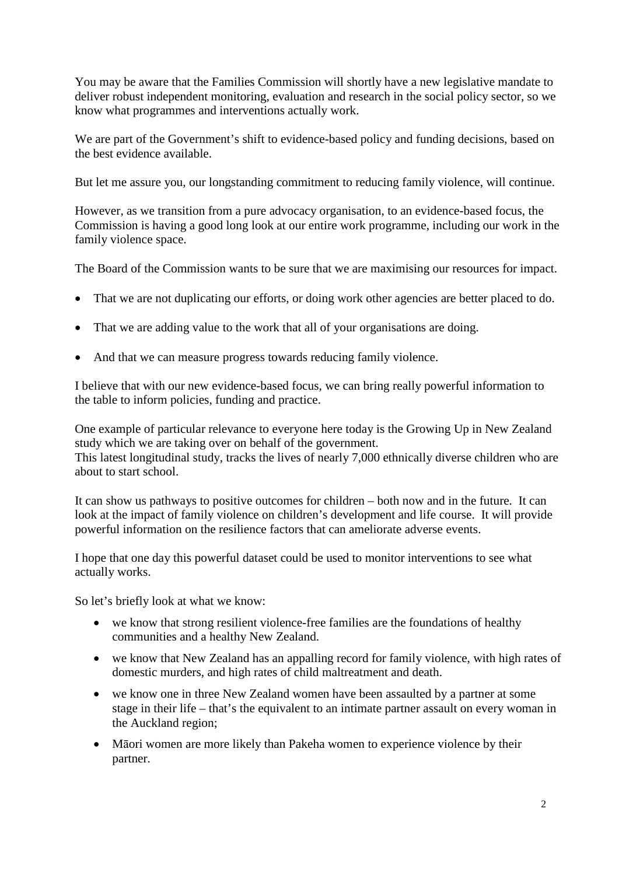You may be aware that the Families Commission will shortly have a new legislative mandate to deliver robust independent monitoring, evaluation and research in the social policy sector, so we know what programmes and interventions actually work.

We are part of the Government's shift to evidence-based policy and funding decisions, based on the best evidence available.

But let me assure you, our longstanding commitment to reducing family violence, will continue.

However, as we transition from a pure advocacy organisation, to an evidence-based focus, the Commission is having a good long look at our entire work programme, including our work in the family violence space.

The Board of the Commission wants to be sure that we are maximising our resources for impact.

- That we are not duplicating our efforts, or doing work other agencies are better placed to do.
- That we are adding value to the work that all of your organisations are doing.
- And that we can measure progress towards reducing family violence.

I believe that with our new evidence-based focus, we can bring really powerful information to the table to inform policies, funding and practice.

One example of particular relevance to everyone here today is the Growing Up in New Zealand study which we are taking over on behalf of the government.

This latest longitudinal study, tracks the lives of nearly 7,000 ethnically diverse children who are about to start school.

It can show us pathways to positive outcomes for children – both now and in the future. It can look at the impact of family violence on children's development and life course. It will provide powerful information on the resilience factors that can ameliorate adverse events.

I hope that one day this powerful dataset could be used to monitor interventions to see what actually works.

So let's briefly look at what we know:

- we know that strong resilient violence-free families are the foundations of healthy communities and a healthy New Zealand.
- we know that New Zealand has an appalling record for family violence, with high rates of domestic murders, and high rates of child maltreatment and death.
- we know one in three New Zealand women have been assaulted by a partner at some stage in their life – that's the equivalent to an intimate partner assault on every woman in the Auckland region;
- Māori women are more likely than Pakeha women to experience violence by their partner.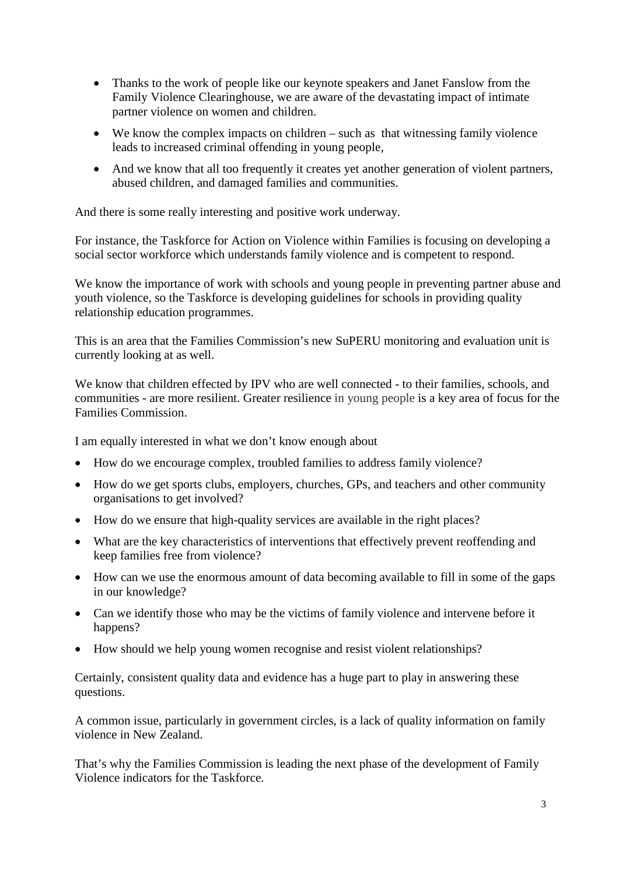- Thanks to the work of people like our keynote speakers and Janet Fanslow from the Family Violence Clearinghouse, we are aware of the devastating impact of intimate partner violence on women and children.
- We know the complex impacts on children such as that witnessing family violence leads to increased criminal offending in young people,
- And we know that all too frequently it creates yet another generation of violent partners, abused children, and damaged families and communities.

And there is some really interesting and positive work underway.

For instance, the Taskforce for Action on Violence within Families is focusing on developing a social sector workforce which understands family violence and is competent to respond.

We know the importance of work with schools and young people in preventing partner abuse and youth violence, so the Taskforce is developing guidelines for schools in providing quality relationship education programmes.

This is an area that the Families Commission's new SuPERU monitoring and evaluation unit is currently looking at as well.

We know that children effected by IPV who are well connected - to their families, schools, and communities - are more resilient. Greater resilience in young people is a key area of focus for the Families Commission.

I am equally interested in what we don't know enough about

- How do we encourage complex, troubled families to address family violence?
- How do we get sports clubs, employers, churches, GPs, and teachers and other community organisations to get involved?
- How do we ensure that high-quality services are available in the right places?
- What are the key characteristics of interventions that effectively prevent reoffending and keep families free from violence?
- How can we use the enormous amount of data becoming available to fill in some of the gaps in our knowledge?
- Can we identify those who may be the victims of family violence and intervene before it happens?
- How should we help young women recognise and resist violent relationships?

Certainly, consistent quality data and evidence has a huge part to play in answering these questions.

A common issue, particularly in government circles, is a lack of quality information on family violence in New Zealand.

That's why the Families Commission is leading the next phase of the development of Family Violence indicators for the Taskforce.